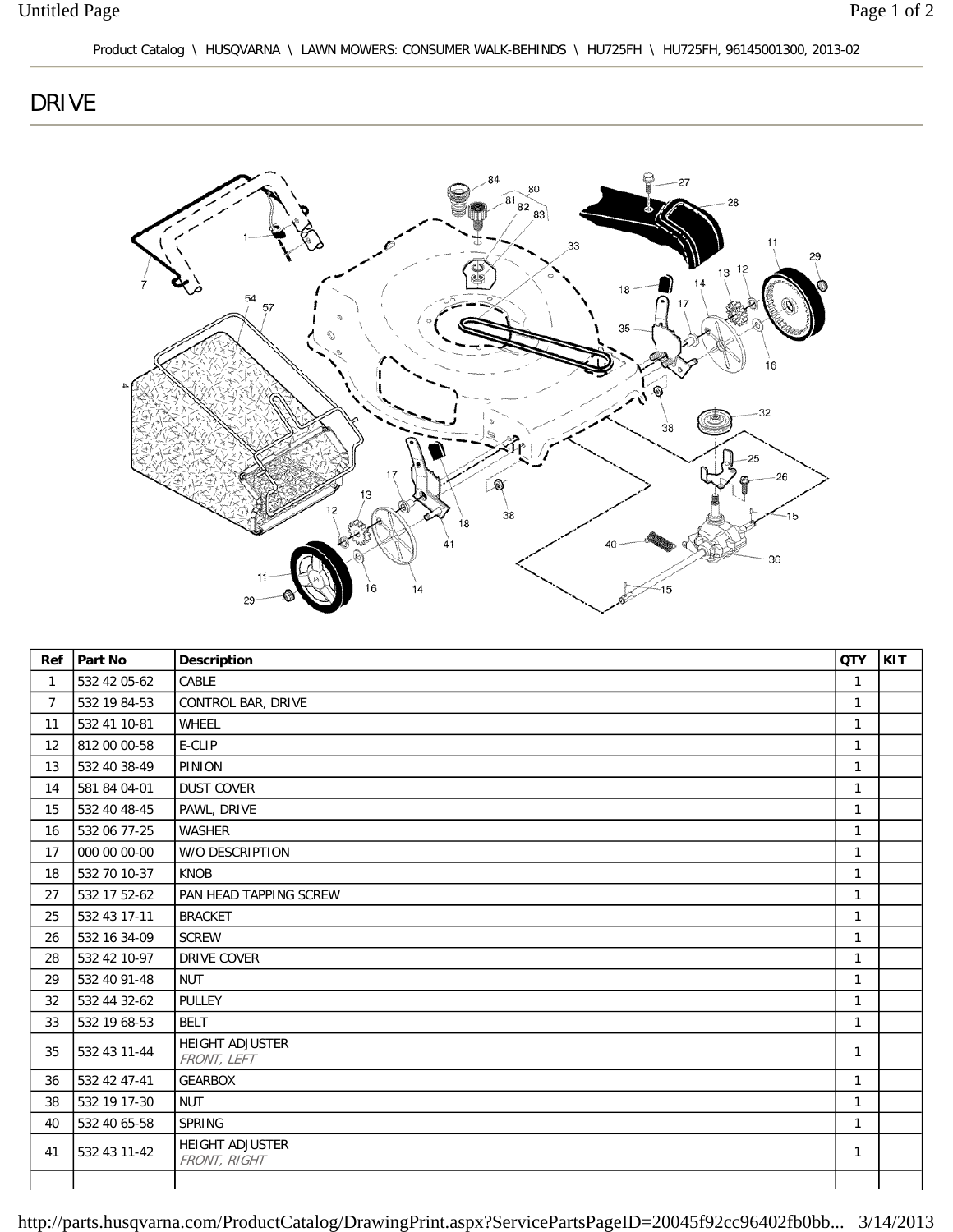## DRIVE



| Ref            | Part No      | <b>Description</b>                    | <b>QTY</b>   | KIT |
|----------------|--------------|---------------------------------------|--------------|-----|
| $\mathbf{1}$   | 532 42 05-62 | CABLE                                 | $\mathbf{1}$ |     |
| $\overline{7}$ | 532 19 84-53 | CONTROL BAR, DRIVE                    | $\mathbf{1}$ |     |
| 11             | 532 41 10-81 | WHEEL                                 | $\mathbf{1}$ |     |
| 12             | 812 00 00-58 | E-CLIP                                | $\mathbf{1}$ |     |
| 13             | 532 40 38-49 | PINION                                | $\mathbf{1}$ |     |
| 14             | 581 84 04-01 | <b>DUST COVER</b>                     | $\mathbf{1}$ |     |
| 15             | 532 40 48-45 | PAWL, DRIVE                           | $\mathbf{1}$ |     |
| 16             | 532 06 77-25 | WASHER                                | $\mathbf{1}$ |     |
| 17             | 000 00 00-00 | W/O DESCRIPTION                       | $\mathbf{1}$ |     |
| 18             | 532 70 10-37 | <b>KNOB</b>                           | $\mathbf{1}$ |     |
| 27             | 532 17 52-62 | PAN HEAD TAPPING SCREW                | $\mathbf{1}$ |     |
| 25             | 532 43 17-11 | <b>BRACKET</b>                        | $\mathbf{1}$ |     |
| 26             | 532 16 34-09 | <b>SCREW</b>                          | $\mathbf{1}$ |     |
| 28             | 532 42 10-97 | <b>DRIVE COVER</b>                    | $\mathbf{1}$ |     |
| 29             | 532 40 91-48 | <b>NUT</b>                            | $\mathbf{1}$ |     |
| 32             | 532 44 32-62 | PULLEY                                | $\mathbf{1}$ |     |
| 33             | 532 19 68-53 | <b>BELT</b>                           | $\mathbf{1}$ |     |
| 35             | 532 43 11-44 | <b>HEIGHT ADJUSTER</b><br>FRONT, LEFT | $\mathbf{1}$ |     |
| 36             | 532 42 47-41 | <b>GEARBOX</b>                        | $\mathbf{1}$ |     |
| 38             | 532 19 17-30 | <b>NUT</b>                            | $\mathbf{1}$ |     |
| 40             | 532 40 65-58 | SPRING                                | $\mathbf{1}$ |     |
| 41             | 532 43 11-42 | HEIGHT ADJUSTER<br>FRONT, RIGHT       | $\mathbf{1}$ |     |
|                |              |                                       |              |     |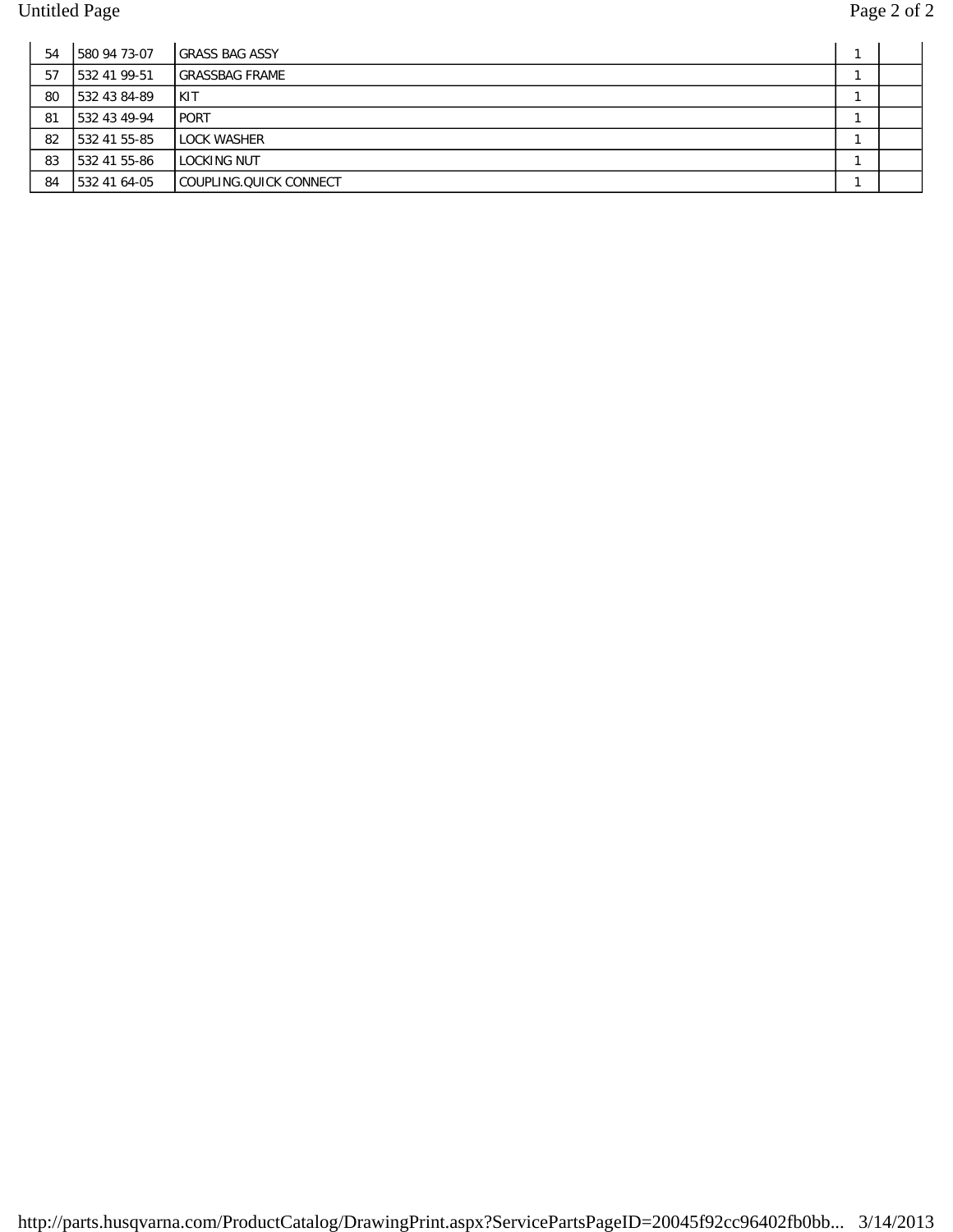| 54 | 1580 94 73-07 | <b>IGRASS BAG ASSY</b>   |  |
|----|---------------|--------------------------|--|
| 57 | 1532 41 99-51 | <b>IGRASSBAG FRAME</b>   |  |
| 80 | 1532 43 84-89 | <b>IKIT</b>              |  |
| 81 | 1532 43 49-94 | l PORT                   |  |
| 82 | 1532 41 55-85 | LLOCK WASHER             |  |
| 83 | 1532 41 55-86 | I LOCKING NUT            |  |
| 84 | 1532 41 64-05 | I COUPLING.QUICK CONNECT |  |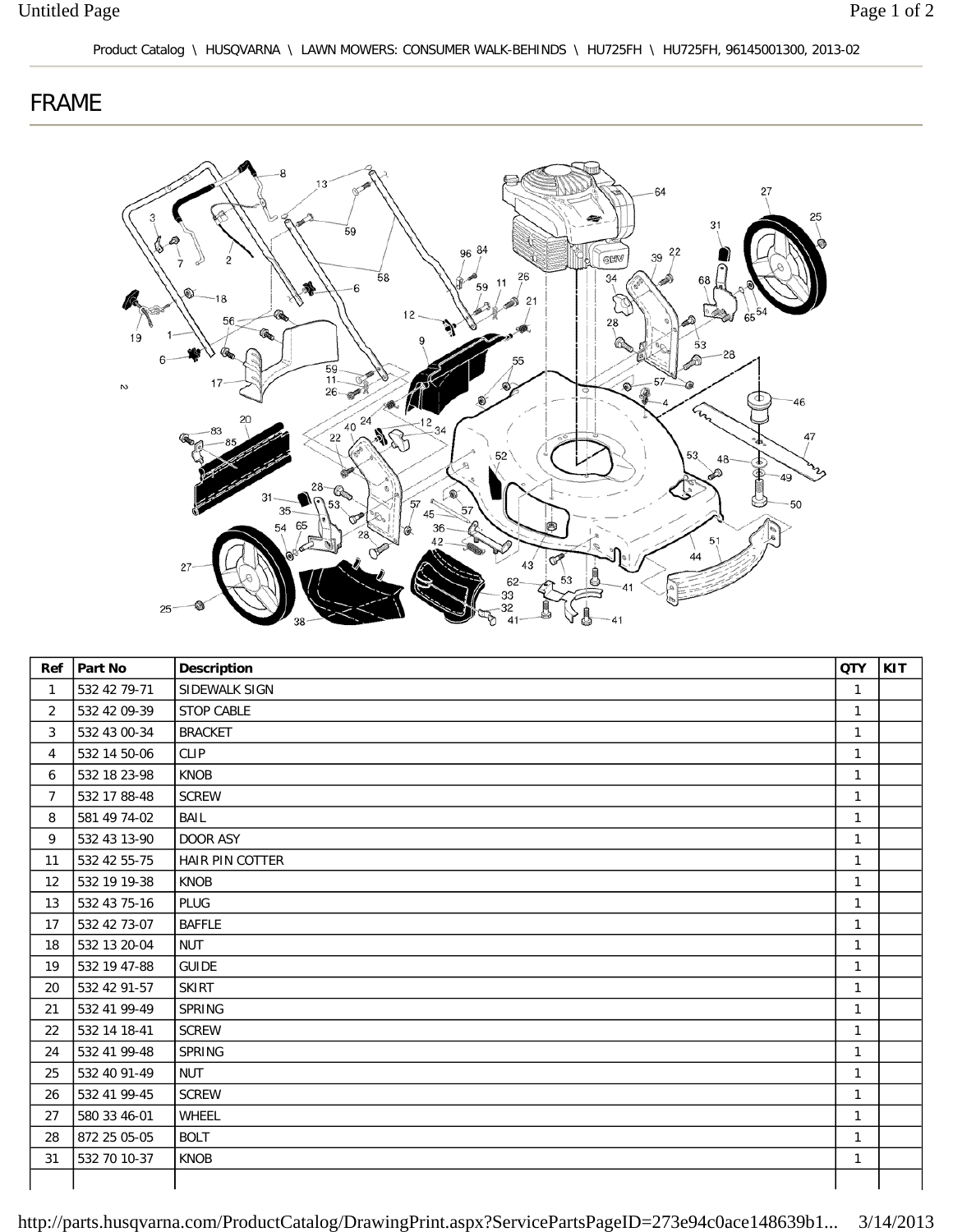## FRAME



|                | Ref   Part No | <b>Description</b> | <b>QTY</b>   | <b>KIT</b> |
|----------------|---------------|--------------------|--------------|------------|
| $\mathbf{1}$   | 532 42 79-71  | SIDEWALK SIGN      | $\mathbf{1}$ |            |
| 2              | 532 42 09-39  | <b>STOP CABLE</b>  | $\mathbf{1}$ |            |
| 3              | 532 43 00-34  | <b>BRACKET</b>     | $\mathbf{1}$ |            |
| 4              | 532 14 50-06  | <b>CLIP</b>        | $\mathbf{1}$ |            |
| 6              | 532 18 23-98  | <b>KNOB</b>        | $\mathbf{1}$ |            |
| $\overline{7}$ | 532 17 88-48  | <b>SCREW</b>       | $\mathbf{1}$ |            |
| 8              | 581 49 74-02  | BAIL               | $\mathbf{1}$ |            |
| 9              | 532 43 13-90  | DOOR ASY           | $\mathbf{1}$ |            |
| 11             | 532 42 55-75  | HAIR PIN COTTER    | $\mathbf{1}$ |            |
| 12             | 532 19 19-38  | <b>KNOB</b>        | $\mathbf{1}$ |            |
| 13             | 532 43 75-16  | <b>PLUG</b>        | $\mathbf{1}$ |            |
| 17             | 532 42 73-07  | <b>BAFFLE</b>      | $\mathbf{1}$ |            |
| 18             | 532 13 20-04  | <b>NUT</b>         | $\mathbf{1}$ |            |
| 19             | 532 19 47-88  | <b>GUIDE</b>       | $\mathbf{1}$ |            |
| 20             | 532 42 91-57  | <b>SKIRT</b>       | $\mathbf{1}$ |            |
| 21             | 532 41 99-49  | SPRING             | $\mathbf{1}$ |            |
| 22             | 532 14 18-41  | <b>SCREW</b>       | $\mathbf{1}$ |            |
| 24             | 532 41 99-48  | SPRING             | $\mathbf{1}$ |            |
| 25             | 532 40 91-49  | <b>NUT</b>         | $\mathbf{1}$ |            |
| 26             | 532 41 99-45  | <b>SCREW</b>       | $\mathbf{1}$ |            |
| 27             | 580 33 46-01  | WHEEL              | $\mathbf{1}$ |            |
| 28             | 872 25 05-05  | <b>BOLT</b>        | $\mathbf{1}$ |            |
| 31             | 532 70 10-37  | KNOB               | $\mathbf{1}$ |            |
|                |               |                    |              |            |